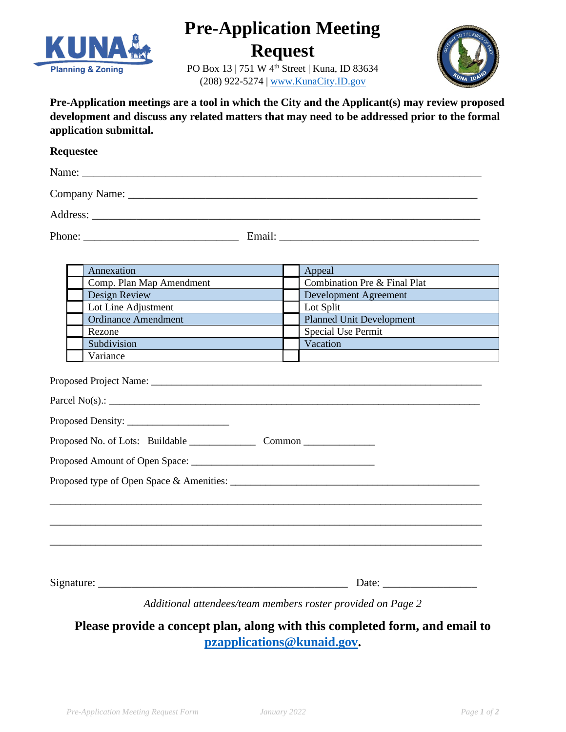

## **Pre-Application Meeting**

**Request**

PO Box 13 | 751 W 4<sup>th</sup> Street | Kuna, ID 83634 (208) 922-5274 [| www.KunaCity.ID.gov](http://www.kunacity.id.gov/)



**Pre-Application meetings are a tool in which the City and the Applicant(s) may review proposed development and discuss any related matters that may need to be addressed prior to the formal application submittal.**

## **Requestee**

| Name:         |  |  |  |
|---------------|--|--|--|
| Company Name: |  |  |  |
| Address:      |  |  |  |

Phone: \_\_\_\_\_\_\_\_\_\_\_\_\_\_\_\_\_\_\_\_\_\_\_\_\_\_\_\_ Email: \_\_\_\_\_\_\_\_\_\_\_\_\_\_\_\_\_\_\_\_\_\_\_\_\_\_\_\_\_\_\_\_\_\_\_\_

| Annexation                 |  | Appeal                          |  |
|----------------------------|--|---------------------------------|--|
| Comp. Plan Map Amendment   |  | Combination Pre & Final Plat    |  |
| Design Review              |  | Development Agreement           |  |
| Lot Line Adjustment        |  | Lot Split                       |  |
| <b>Ordinance Amendment</b> |  | <b>Planned Unit Development</b> |  |
| Rezone                     |  | Special Use Permit              |  |
| Subdivision                |  | Vacation                        |  |
| Variance                   |  |                                 |  |

| Parcel No(s).: $\qquad \qquad$ |
|--------------------------------|
|                                |
|                                |
|                                |
|                                |
|                                |
|                                |
|                                |
|                                |
|                                |

Signature: \_\_\_\_\_\_\_\_\_\_\_\_\_\_\_\_\_\_\_\_\_\_\_\_\_\_\_\_\_\_\_\_\_\_\_\_\_\_\_\_\_\_\_\_\_ Date: \_\_\_\_\_\_\_\_\_\_\_\_\_\_\_\_\_

*Additional attendees/team members roster provided on Page 2* 

**Please provide a concept plan, along with this completed form, and email to [pzapplications@kunaid.gov.](mailto:pzapplications@kunaid.gov)**